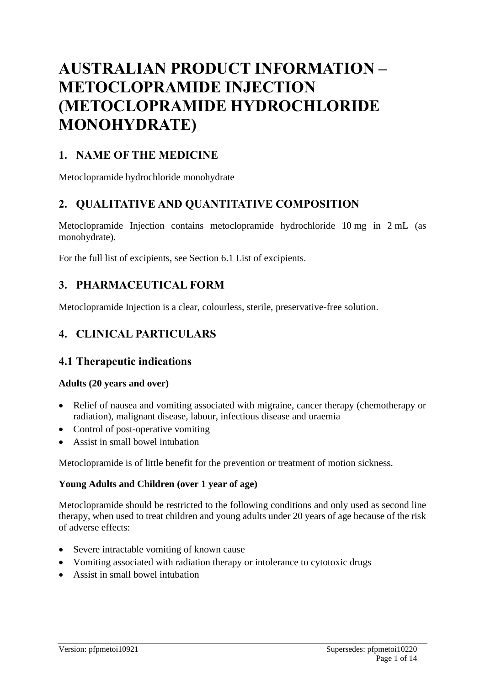# **AUSTRALIAN PRODUCT INFORMATION – METOCLOPRAMIDE INJECTION (METOCLOPRAMIDE HYDROCHLORIDE MONOHYDRATE)**

# **1. NAME OF THE MEDICINE**

Metoclopramide hydrochloride monohydrate

# **2. QUALITATIVE AND QUANTITATIVE COMPOSITION**

Metoclopramide Injection contains metoclopramide hydrochloride 10 mg in 2 mL (as monohydrate).

For the full list of excipients, see Section 6.1 List of excipients.

# **3. PHARMACEUTICAL FORM**

Metoclopramide Injection is a clear, colourless, sterile, preservative-free solution.

# **4. CLINICAL PARTICULARS**

# **4.1 Therapeutic indications**

### **Adults (20 years and over)**

- Relief of nausea and vomiting associated with migraine, cancer therapy (chemotherapy or radiation), malignant disease, labour, infectious disease and uraemia
- Control of post-operative vomiting
- Assist in small bowel intubation

Metoclopramide is of little benefit for the prevention or treatment of motion sickness.

### **Young Adults and Children (over 1 year of age)**

Metoclopramide should be restricted to the following conditions and only used as second line therapy, when used to treat children and young adults under 20 years of age because of the risk of adverse effects:

- Severe intractable vomiting of known cause
- Vomiting associated with radiation therapy or intolerance to cytotoxic drugs
- Assist in small bowel intubation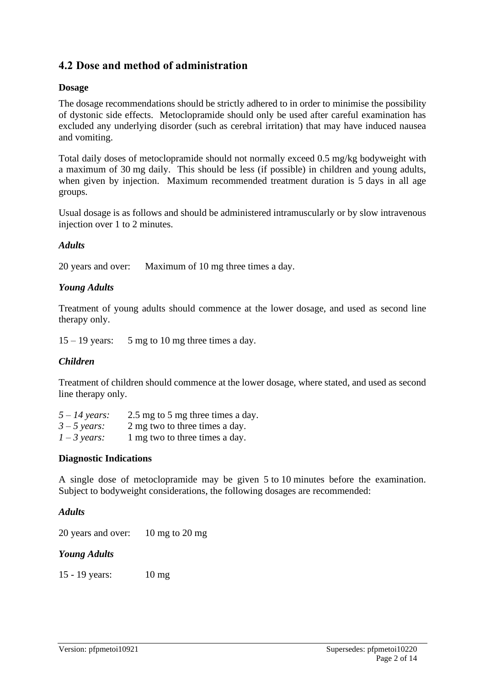# **4.2 Dose and method of administration**

#### **Dosage**

The dosage recommendations should be strictly adhered to in order to minimise the possibility of dystonic side effects. Metoclopramide should only be used after careful examination has excluded any underlying disorder (such as cerebral irritation) that may have induced nausea and vomiting.

Total daily doses of metoclopramide should not normally exceed 0.5 mg/kg bodyweight with a maximum of 30 mg daily. This should be less (if possible) in children and young adults, when given by injection. Maximum recommended treatment duration is 5 days in all age groups.

Usual dosage is as follows and should be administered intramuscularly or by slow intravenous injection over 1 to 2 minutes.

### *Adults*

20 years and over: Maximum of 10 mg three times a day.

### *Young Adults*

Treatment of young adults should commence at the lower dosage, and used as second line therapy only.

 $15 - 19$  years: 5 mg to 10 mg three times a day.

#### *Children*

Treatment of children should commence at the lower dosage, where stated, and used as second line therapy only.

| $5 - 14$ years: | 2.5 mg to 5 mg three times a day. |
|-----------------|-----------------------------------|
| $3 - 5$ years:  | 2 mg two to three times a day.    |
| $1 - 3$ years:  | 1 mg two to three times a day.    |

#### **Diagnostic Indications**

A single dose of metoclopramide may be given 5 to 10 minutes before the examination. Subject to bodyweight considerations, the following dosages are recommended:

#### *Adults*

20 years and over: 10 mg to 20 mg

#### *Young Adults*

15 - 19 years: 10 mg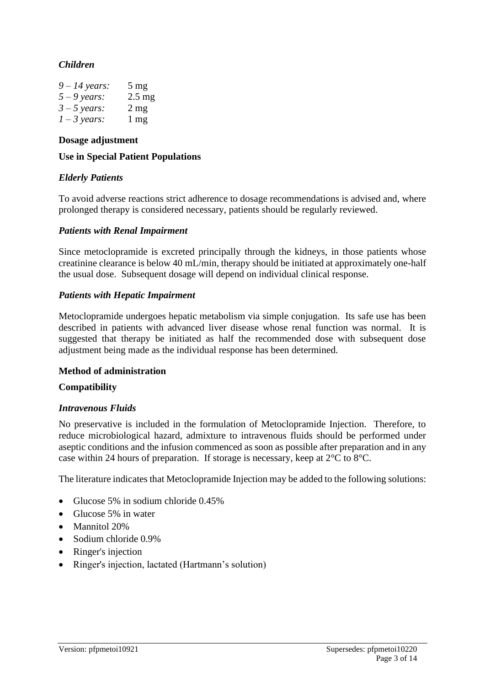### *Children*

| $9 - 14$ years: | $5 \text{ mg}$ |
|-----------------|----------------|
| $5 - 9$ years:  | $2.5$ mg       |
| $3 - 5$ years:  | $2 \text{ mg}$ |
| $1 - 3$ years:  | $1 \text{ mg}$ |

#### **Dosage adjustment**

#### **Use in Special Patient Populations**

#### *Elderly Patients*

To avoid adverse reactions strict adherence to dosage recommendations is advised and, where prolonged therapy is considered necessary, patients should be regularly reviewed.

#### *Patients with Renal Impairment*

Since metoclopramide is excreted principally through the kidneys, in those patients whose creatinine clearance is below 40 mL/min, therapy should be initiated at approximately one-half the usual dose. Subsequent dosage will depend on individual clinical response.

#### *Patients with Hepatic Impairment*

Metoclopramide undergoes hepatic metabolism via simple conjugation. Its safe use has been described in patients with advanced liver disease whose renal function was normal. It is suggested that therapy be initiated as half the recommended dose with subsequent dose adjustment being made as the individual response has been determined.

#### **Method of administration**

#### **Compatibility**

#### *Intravenous Fluids*

No preservative is included in the formulation of Metoclopramide Injection. Therefore, to reduce microbiological hazard, admixture to intravenous fluids should be performed under aseptic conditions and the infusion commenced as soon as possible after preparation and in any case within 24 hours of preparation. If storage is necessary, keep at 2°C to 8°C.

The literature indicates that Metoclopramide Injection may be added to the following solutions:

- Glucose 5% in sodium chloride 0.45%
- Glucose 5% in water
- Mannitol 20%
- Sodium chloride 0.9%
- Ringer's injection
- Ringer's injection, lactated (Hartmann's solution)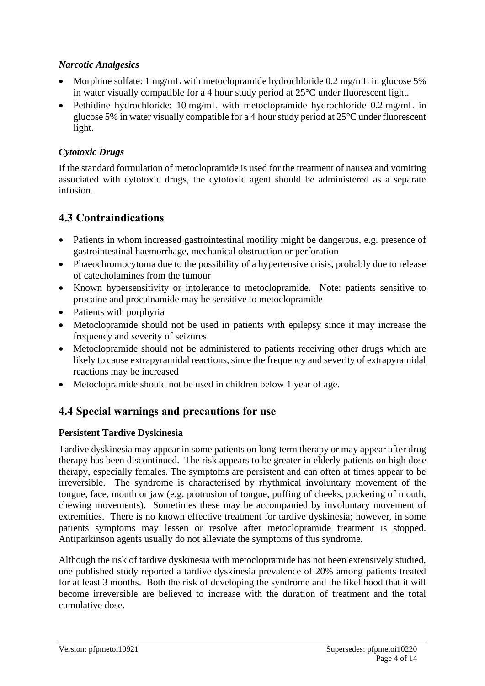### *Narcotic Analgesics*

- Morphine sulfate: 1 mg/mL with metoclopramide hydrochloride 0.2 mg/mL in glucose 5% in water visually compatible for a 4 hour study period at 25°C under fluorescent light.
- Pethidine hydrochloride: 10 mg/mL with metoclopramide hydrochloride 0.2 mg/mL in glucose 5% in water visually compatible for a 4 hour study period at 25°C under fluorescent light.

# *Cytotoxic Drugs*

If the standard formulation of metoclopramide is used for the treatment of nausea and vomiting associated with cytotoxic drugs, the cytotoxic agent should be administered as a separate infusion.

# **4.3 Contraindications**

- Patients in whom increased gastrointestinal motility might be dangerous, e.g. presence of gastrointestinal haemorrhage, mechanical obstruction or perforation
- Phaeochromocytoma due to the possibility of a hypertensive crisis, probably due to release of catecholamines from the tumour
- Known hypersensitivity or intolerance to metoclopramide. Note: patients sensitive to procaine and procainamide may be sensitive to metoclopramide
- Patients with porphyria
- Metoclopramide should not be used in patients with epilepsy since it may increase the frequency and severity of seizures
- Metoclopramide should not be administered to patients receiving other drugs which are likely to cause extrapyramidal reactions, since the frequency and severity of extrapyramidal reactions may be increased
- Metoclopramide should not be used in children below 1 year of age.

# **4.4 Special warnings and precautions for use**

### **Persistent Tardive Dyskinesia**

Tardive dyskinesia may appear in some patients on long-term therapy or may appear after drug therapy has been discontinued. The risk appears to be greater in elderly patients on high dose therapy, especially females. The symptoms are persistent and can often at times appear to be irreversible. The syndrome is characterised by rhythmical involuntary movement of the tongue, face, mouth or jaw (e.g. protrusion of tongue, puffing of cheeks, puckering of mouth, chewing movements). Sometimes these may be accompanied by involuntary movement of extremities. There is no known effective treatment for tardive dyskinesia; however, in some patients symptoms may lessen or resolve after metoclopramide treatment is stopped. Antiparkinson agents usually do not alleviate the symptoms of this syndrome.

Although the risk of tardive dyskinesia with metoclopramide has not been extensively studied, one published study reported a tardive dyskinesia prevalence of 20% among patients treated for at least 3 months. Both the risk of developing the syndrome and the likelihood that it will become irreversible are believed to increase with the duration of treatment and the total cumulative dose.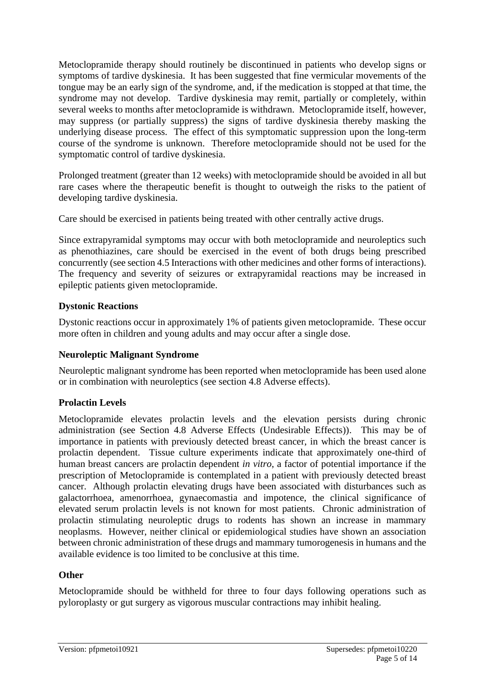Metoclopramide therapy should routinely be discontinued in patients who develop signs or symptoms of tardive dyskinesia. It has been suggested that fine vermicular movements of the tongue may be an early sign of the syndrome, and, if the medication is stopped at that time, the syndrome may not develop. Tardive dyskinesia may remit, partially or completely, within several weeks to months after metoclopramide is withdrawn. Metoclopramide itself, however, may suppress (or partially suppress) the signs of tardive dyskinesia thereby masking the underlying disease process. The effect of this symptomatic suppression upon the long-term course of the syndrome is unknown. Therefore metoclopramide should not be used for the symptomatic control of tardive dyskinesia.

Prolonged treatment (greater than 12 weeks) with metoclopramide should be avoided in all but rare cases where the therapeutic benefit is thought to outweigh the risks to the patient of developing tardive dyskinesia.

Care should be exercised in patients being treated with other centrally active drugs.

Since extrapyramidal symptoms may occur with both metoclopramide and neuroleptics such as phenothiazines, care should be exercised in the event of both drugs being prescribed concurrently (see section 4.5 Interactions with other medicines and other forms of interactions). The frequency and severity of seizures or extrapyramidal reactions may be increased in epileptic patients given metoclopramide.

### **Dystonic Reactions**

Dystonic reactions occur in approximately 1% of patients given metoclopramide. These occur more often in children and young adults and may occur after a single dose.

### **Neuroleptic Malignant Syndrome**

Neuroleptic malignant syndrome has been reported when metoclopramide has been used alone or in combination with neuroleptics (see section 4.8 Adverse effects).

### **Prolactin Levels**

Metoclopramide elevates prolactin levels and the elevation persists during chronic administration (see Section 4.8 Adverse Effects (Undesirable Effects)). This may be of importance in patients with previously detected breast cancer, in which the breast cancer is prolactin dependent. Tissue culture experiments indicate that approximately one-third of human breast cancers are prolactin dependent *in vitro*, a factor of potential importance if the prescription of Metoclopramide is contemplated in a patient with previously detected breast cancer. Although prolactin elevating drugs have been associated with disturbances such as galactorrhoea, amenorrhoea, gynaecomastia and impotence, the clinical significance of elevated serum prolactin levels is not known for most patients. Chronic administration of prolactin stimulating neuroleptic drugs to rodents has shown an increase in mammary neoplasms. However, neither clinical or epidemiological studies have shown an association between chronic administration of these drugs and mammary tumorogenesis in humans and the available evidence is too limited to be conclusive at this time.

#### **Other**

Metoclopramide should be withheld for three to four days following operations such as pyloroplasty or gut surgery as vigorous muscular contractions may inhibit healing.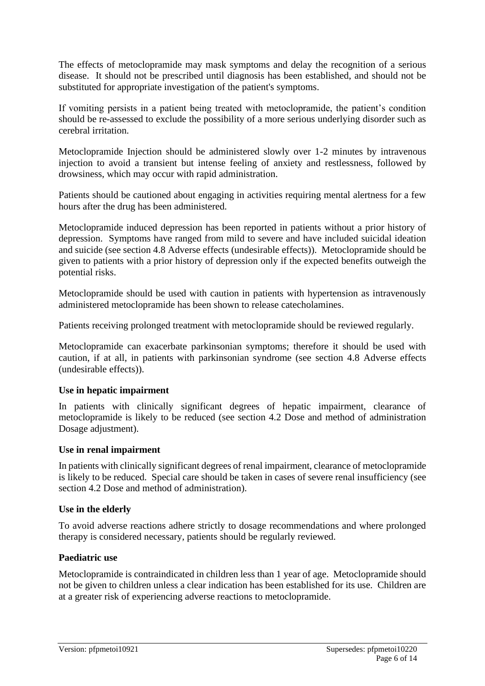The effects of metoclopramide may mask symptoms and delay the recognition of a serious disease. It should not be prescribed until diagnosis has been established, and should not be substituted for appropriate investigation of the patient's symptoms.

If vomiting persists in a patient being treated with metoclopramide, the patient's condition should be re-assessed to exclude the possibility of a more serious underlying disorder such as cerebral irritation.

Metoclopramide Injection should be administered slowly over 1-2 minutes by intravenous injection to avoid a transient but intense feeling of anxiety and restlessness, followed by drowsiness, which may occur with rapid administration.

Patients should be cautioned about engaging in activities requiring mental alertness for a few hours after the drug has been administered.

Metoclopramide induced depression has been reported in patients without a prior history of depression. Symptoms have ranged from mild to severe and have included suicidal ideation and suicide (see section 4.8 Adverse effects (undesirable effects)). Metoclopramide should be given to patients with a prior history of depression only if the expected benefits outweigh the potential risks.

Metoclopramide should be used with caution in patients with hypertension as intravenously administered metoclopramide has been shown to release catecholamines.

Patients receiving prolonged treatment with metoclopramide should be reviewed regularly.

Metoclopramide can exacerbate parkinsonian symptoms; therefore it should be used with caution, if at all, in patients with parkinsonian syndrome (see section 4.8 Adverse effects (undesirable effects)).

#### **Use in hepatic impairment**

In patients with clinically significant degrees of hepatic impairment, clearance of metoclopramide is likely to be reduced (see section 4.2 Dose and method of administration Dosage adjustment).

#### **Use in renal impairment**

In patients with clinically significant degrees of renal impairment, clearance of metoclopramide is likely to be reduced. Special care should be taken in cases of severe renal insufficiency (see section 4.2 Dose and method of administration).

#### **Use in the elderly**

To avoid adverse reactions adhere strictly to dosage recommendations and where prolonged therapy is considered necessary, patients should be regularly reviewed.

#### **Paediatric use**

Metoclopramide is contraindicated in children less than 1 year of age. Metoclopramide should not be given to children unless a clear indication has been established for its use. Children are at a greater risk of experiencing adverse reactions to metoclopramide.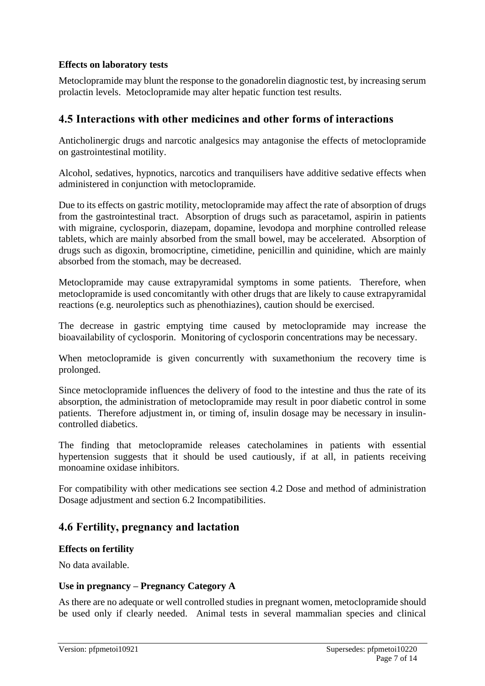### **Effects on laboratory tests**

Metoclopramide may blunt the response to the gonadorelin diagnostic test, by increasing serum prolactin levels. Metoclopramide may alter hepatic function test results.

# **4.5 Interactions with other medicines and other forms of interactions**

Anticholinergic drugs and narcotic analgesics may antagonise the effects of metoclopramide on gastrointestinal motility.

Alcohol, sedatives, hypnotics, narcotics and tranquilisers have additive sedative effects when administered in conjunction with metoclopramide.

Due to its effects on gastric motility, metoclopramide may affect the rate of absorption of drugs from the gastrointestinal tract. Absorption of drugs such as paracetamol, aspirin in patients with migraine, cyclosporin, diazepam, dopamine, levodopa and morphine controlled release tablets, which are mainly absorbed from the small bowel, may be accelerated. Absorption of drugs such as digoxin, bromocriptine, cimetidine, penicillin and quinidine, which are mainly absorbed from the stomach, may be decreased.

Metoclopramide may cause extrapyramidal symptoms in some patients. Therefore, when metoclopramide is used concomitantly with other drugs that are likely to cause extrapyramidal reactions (e.g. neuroleptics such as phenothiazines), caution should be exercised.

The decrease in gastric emptying time caused by metoclopramide may increase the bioavailability of cyclosporin. Monitoring of cyclosporin concentrations may be necessary.

When metoclopramide is given concurrently with suxamethonium the recovery time is prolonged.

Since metoclopramide influences the delivery of food to the intestine and thus the rate of its absorption, the administration of metoclopramide may result in poor diabetic control in some patients. Therefore adjustment in, or timing of, insulin dosage may be necessary in insulincontrolled diabetics.

The finding that metoclopramide releases catecholamines in patients with essential hypertension suggests that it should be used cautiously, if at all, in patients receiving monoamine oxidase inhibitors.

For compatibility with other medications see section 4.2 Dose and method of administration Dosage adjustment and section 6.2 Incompatibilities.

# **4.6 Fertility, pregnancy and lactation**

#### **Effects on fertility**

No data available.

#### **Use in pregnancy – Pregnancy Category A**

As there are no adequate or well controlled studies in pregnant women, metoclopramide should be used only if clearly needed. Animal tests in several mammalian species and clinical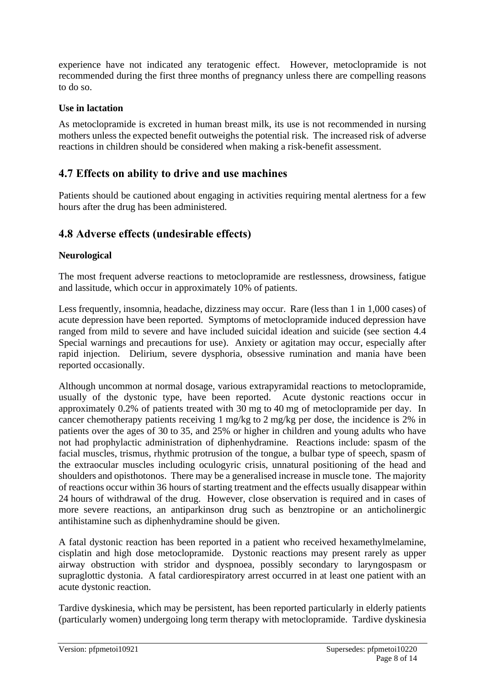experience have not indicated any teratogenic effect. However, metoclopramide is not recommended during the first three months of pregnancy unless there are compelling reasons to do so.

### **Use in lactation**

As metoclopramide is excreted in human breast milk, its use is not recommended in nursing mothers unless the expected benefit outweighs the potential risk. The increased risk of adverse reactions in children should be considered when making a risk-benefit assessment.

# **4.7 Effects on ability to drive and use machines**

Patients should be cautioned about engaging in activities requiring mental alertness for a few hours after the drug has been administered.

# **4.8 Adverse effects (undesirable effects)**

### **Neurological**

The most frequent adverse reactions to metoclopramide are restlessness, drowsiness, fatigue and lassitude, which occur in approximately 10% of patients.

Less frequently, insomnia, headache, dizziness may occur. Rare (less than 1 in 1,000 cases) of acute depression have been reported. Symptoms of metoclopramide induced depression have ranged from mild to severe and have included suicidal ideation and suicide (see section 4.4 Special warnings and precautions for use). Anxiety or agitation may occur, especially after rapid injection. Delirium, severe dysphoria, obsessive rumination and mania have been reported occasionally.

Although uncommon at normal dosage, various extrapyramidal reactions to metoclopramide, usually of the dystonic type, have been reported. Acute dystonic reactions occur in approximately 0.2% of patients treated with 30 mg to 40 mg of metoclopramide per day. In cancer chemotherapy patients receiving 1 mg/kg to 2 mg/kg per dose, the incidence is 2% in patients over the ages of 30 to 35, and 25% or higher in children and young adults who have not had prophylactic administration of diphenhydramine. Reactions include: spasm of the facial muscles, trismus, rhythmic protrusion of the tongue, a bulbar type of speech, spasm of the extraocular muscles including oculogyric crisis, unnatural positioning of the head and shoulders and opisthotonos. There may be a generalised increase in muscle tone. The majority of reactions occur within 36 hours of starting treatment and the effects usually disappear within 24 hours of withdrawal of the drug. However, close observation is required and in cases of more severe reactions, an antiparkinson drug such as benztropine or an anticholinergic antihistamine such as diphenhydramine should be given.

A fatal dystonic reaction has been reported in a patient who received hexamethylmelamine, cisplatin and high dose metoclopramide. Dystonic reactions may present rarely as upper airway obstruction with stridor and dyspnoea, possibly secondary to laryngospasm or supraglottic dystonia. A fatal cardiorespiratory arrest occurred in at least one patient with an acute dystonic reaction.

Tardive dyskinesia, which may be persistent, has been reported particularly in elderly patients (particularly women) undergoing long term therapy with metoclopramide. Tardive dyskinesia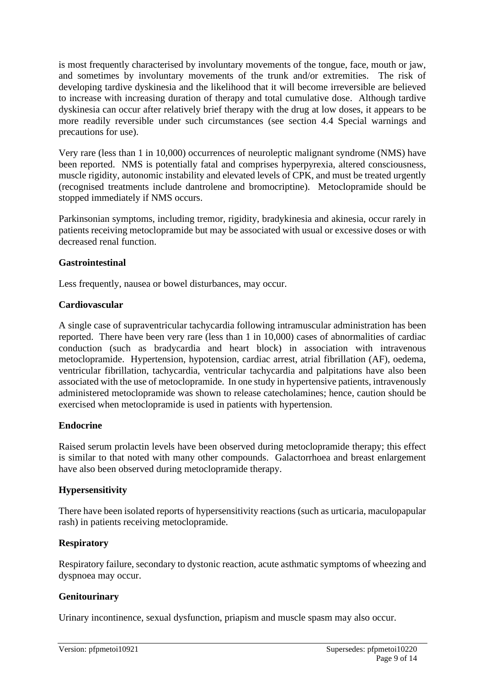is most frequently characterised by involuntary movements of the tongue, face, mouth or jaw, and sometimes by involuntary movements of the trunk and/or extremities. The risk of developing tardive dyskinesia and the likelihood that it will become irreversible are believed to increase with increasing duration of therapy and total cumulative dose. Although tardive dyskinesia can occur after relatively brief therapy with the drug at low doses, it appears to be more readily reversible under such circumstances (see section 4.4 Special warnings and precautions for use).

Very rare (less than 1 in 10,000) occurrences of neuroleptic malignant syndrome (NMS) have been reported. NMS is potentially fatal and comprises hyperpyrexia, altered consciousness, muscle rigidity, autonomic instability and elevated levels of CPK, and must be treated urgently (recognised treatments include dantrolene and bromocriptine). Metoclopramide should be stopped immediately if NMS occurs.

Parkinsonian symptoms, including tremor, rigidity, bradykinesia and akinesia, occur rarely in patients receiving metoclopramide but may be associated with usual or excessive doses or with decreased renal function.

#### **Gastrointestinal**

Less frequently, nausea or bowel disturbances, may occur.

### **Cardiovascular**

A single case of supraventricular tachycardia following intramuscular administration has been reported. There have been very rare (less than 1 in 10,000) cases of abnormalities of cardiac conduction (such as bradycardia and heart block) in association with intravenous metoclopramide. Hypertension, hypotension, cardiac arrest, atrial fibrillation (AF), oedema, ventricular fibrillation, tachycardia, ventricular tachycardia and palpitations have also been associated with the use of metoclopramide. In one study in hypertensive patients, intravenously administered metoclopramide was shown to release catecholamines; hence, caution should be exercised when metoclopramide is used in patients with hypertension.

### **Endocrine**

Raised serum prolactin levels have been observed during metoclopramide therapy; this effect is similar to that noted with many other compounds. Galactorrhoea and breast enlargement have also been observed during metoclopramide therapy.

### **Hypersensitivity**

There have been isolated reports of hypersensitivity reactions (such as urticaria, maculopapular rash) in patients receiving metoclopramide.

### **Respiratory**

Respiratory failure, secondary to dystonic reaction, acute asthmatic symptoms of wheezing and dyspnoea may occur.

### **Genitourinary**

Urinary incontinence, sexual dysfunction, priapism and muscle spasm may also occur.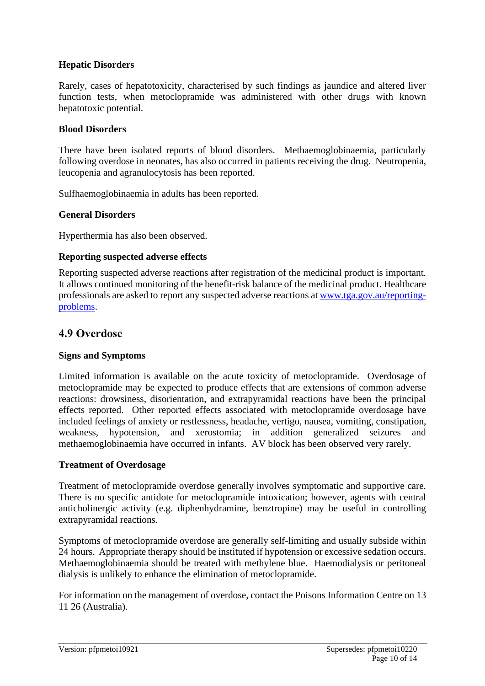### **Hepatic Disorders**

Rarely, cases of hepatotoxicity, characterised by such findings as jaundice and altered liver function tests, when metoclopramide was administered with other drugs with known hepatotoxic potential.

### **Blood Disorders**

There have been isolated reports of blood disorders. Methaemoglobinaemia, particularly following overdose in neonates, has also occurred in patients receiving the drug. Neutropenia, leucopenia and agranulocytosis has been reported.

Sulfhaemoglobinaemia in adults has been reported.

#### **General Disorders**

Hyperthermia has also been observed.

#### **Reporting suspected adverse effects**

Reporting suspected adverse reactions after registration of the medicinal product is important. It allows continued monitoring of the benefit-risk balance of the medicinal product. Healthcare professionals are asked to report any suspected adverse reactions at [www.tga.gov.au/reporting](http://www.tga.gov.au/reporting-problems)[problems.](http://www.tga.gov.au/reporting-problems)

### **4.9 Overdose**

#### **Signs and Symptoms**

Limited information is available on the acute toxicity of metoclopramide. Overdosage of metoclopramide may be expected to produce effects that are extensions of common adverse reactions: drowsiness, disorientation, and extrapyramidal reactions have been the principal effects reported. Other reported effects associated with metoclopramide overdosage have included feelings of anxiety or restlessness, headache, vertigo, nausea, vomiting, constipation, weakness, hypotension, and xerostomia; in addition generalized seizures and methaemoglobinaemia have occurred in infants. AV block has been observed very rarely.

#### **Treatment of Overdosage**

Treatment of metoclopramide overdose generally involves symptomatic and supportive care. There is no specific antidote for metoclopramide intoxication; however, agents with central anticholinergic activity (e.g. diphenhydramine, benztropine) may be useful in controlling extrapyramidal reactions.

Symptoms of metoclopramide overdose are generally self-limiting and usually subside within 24 hours. Appropriate therapy should be instituted if hypotension or excessive sedation occurs. Methaemoglobinaemia should be treated with methylene blue. Haemodialysis or peritoneal dialysis is unlikely to enhance the elimination of metoclopramide.

For information on the management of overdose, contact the Poisons Information Centre on 13 11 26 (Australia).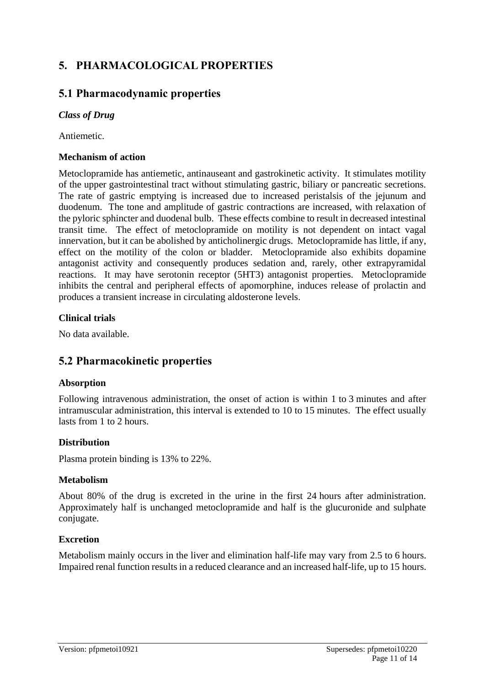# **5. PHARMACOLOGICAL PROPERTIES**

# **5.1 Pharmacodynamic properties**

### *Class of Drug*

Antiemetic.

### **Mechanism of action**

Metoclopramide has antiemetic, antinauseant and gastrokinetic activity. It stimulates motility of the upper gastrointestinal tract without stimulating gastric, biliary or pancreatic secretions. The rate of gastric emptying is increased due to increased peristalsis of the jejunum and duodenum. The tone and amplitude of gastric contractions are increased, with relaxation of the pyloric sphincter and duodenal bulb. These effects combine to result in decreased intestinal transit time. The effect of metoclopramide on motility is not dependent on intact vagal innervation, but it can be abolished by anticholinergic drugs. Metoclopramide has little, if any, effect on the motility of the colon or bladder. Metoclopramide also exhibits dopamine antagonist activity and consequently produces sedation and, rarely, other extrapyramidal reactions. It may have serotonin receptor (5HT3) antagonist properties. Metoclopramide inhibits the central and peripheral effects of apomorphine, induces release of prolactin and produces a transient increase in circulating aldosterone levels.

### **Clinical trials**

No data available.

# **5.2 Pharmacokinetic properties**

#### **Absorption**

Following intravenous administration, the onset of action is within 1 to 3 minutes and after intramuscular administration, this interval is extended to 10 to 15 minutes. The effect usually lasts from 1 to 2 hours.

#### **Distribution**

Plasma protein binding is 13% to 22%.

#### **Metabolism**

About 80% of the drug is excreted in the urine in the first 24 hours after administration. Approximately half is unchanged metoclopramide and half is the glucuronide and sulphate conjugate.

#### **Excretion**

Metabolism mainly occurs in the liver and elimination half-life may vary from 2.5 to 6 hours. Impaired renal function results in a reduced clearance and an increased half-life, up to 15 hours.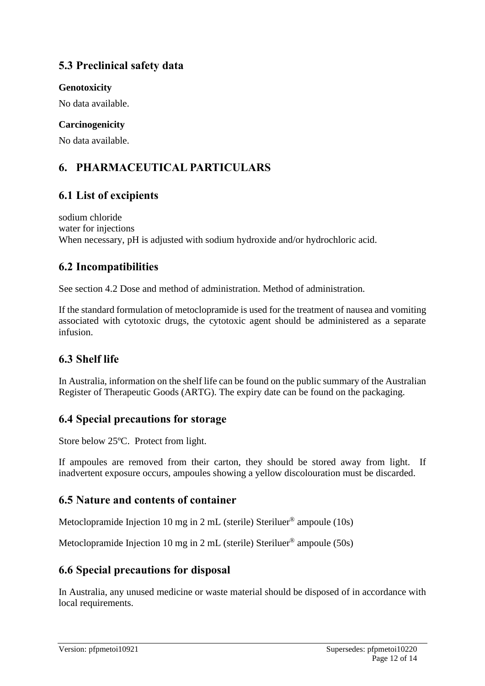# **5.3 Preclinical safety data**

### **Genotoxicity**

No data available.

## **Carcinogenicity**

No data available.

# **6. PHARMACEUTICAL PARTICULARS**

# **6.1 List of excipients**

sodium chloride water for injections When necessary, pH is adjusted with sodium hydroxide and/or hydrochloric acid.

# **6.2 Incompatibilities**

See section 4.2 Dose and method of administration. Method of administration.

If the standard formulation of metoclopramide is used for the treatment of nausea and vomiting associated with cytotoxic drugs, the cytotoxic agent should be administered as a separate infusion.

# **6.3 Shelf life**

In Australia, information on the shelf life can be found on the public summary of the Australian Register of Therapeutic Goods (ARTG). The expiry date can be found on the packaging.

# **6.4 Special precautions for storage**

Store below 25ºC. Protect from light.

If ampoules are removed from their carton, they should be stored away from light. If inadvertent exposure occurs, ampoules showing a yellow discolouration must be discarded.

# **6.5 Nature and contents of container**

Metoclopramide Injection 10 mg in 2 mL (sterile) Steriluer® ampoule (10s)

Metoclopramide Injection 10 mg in 2 mL (sterile) Steriluer® ampoule (50s)

# **6.6 Special precautions for disposal**

In Australia, any unused medicine or waste material should be disposed of in accordance with local requirements.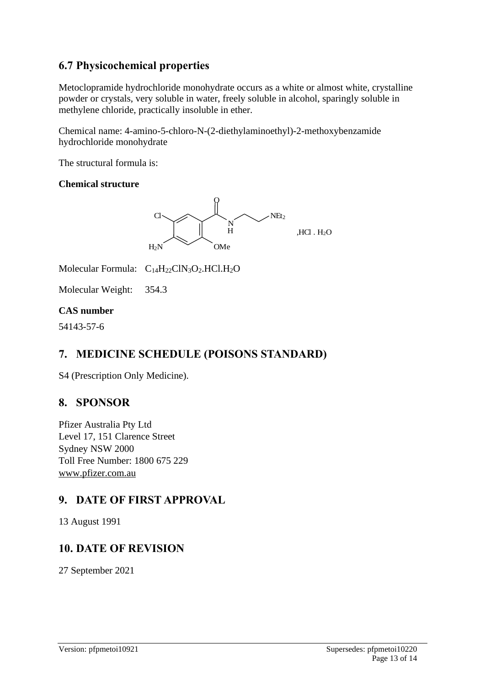# **6.7 Physicochemical properties**

Metoclopramide hydrochloride monohydrate occurs as a white or almost white, crystalline powder or crystals, very soluble in water, freely soluble in alcohol, sparingly soluble in methylene chloride, practically insoluble in ether.

Chemical name: 4-amino-5-chloro-N-(2-diethylaminoethyl)-2-methoxybenzamide hydrochloride monohydrate

The structural formula is:

### **Chemical structure**



Molecular Formula:  $C_{14}H_{22}C1N_3O_2.HCl.H_2O$ 

Molecular Weight: 354.3

### **CAS number**

54143-57-6

# **7. MEDICINE SCHEDULE (POISONS STANDARD)**

S4 (Prescription Only Medicine).

# **8. SPONSOR**

Pfizer Australia Pty Ltd Level 17, 151 Clarence Street Sydney NSW 2000 Toll Free Number: 1800 675 229 [www.pfizer.com.au](http://www.pfizer.com.au/)

# **9. DATE OF FIRST APPROVAL**

13 August 1991

# **10. DATE OF REVISION**

27 September 2021